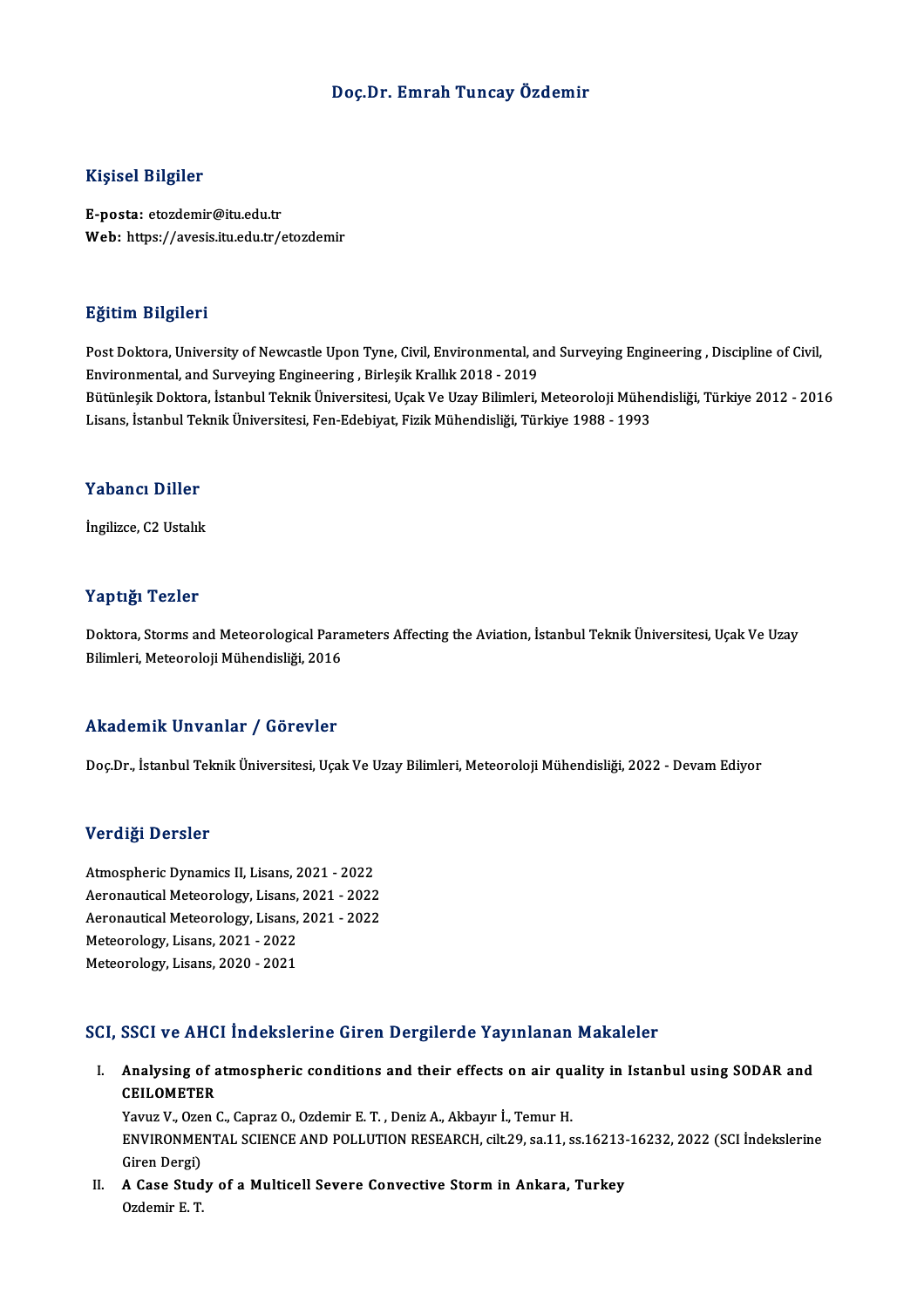### Doç.Dr. Emrah Tuncay Özdemir

### Kişisel Bilgiler

E-posta: etozdemir@itu.edu.tr Web: https://avesis.itu.edu.tr/etozdemir

### Eğitim Bilgileri

Eğitim Bilgileri<br>Post Doktora, University of Newcastle Upon Tyne, Civil, Environmental, and Surveying Engineering , Discipline of Civil,<br>Environmental and Surveying Engineering , Birlesik Krallık 2019 , 2019 Enstand Bargareta<br>Post Doktora, University of Newcastle Upon Tyne, Civil, Environmental, an<br>Environmental, and Surveying Engineering , Birleşik Krallık 2018 - 2019<br>Bütünleşik Doktora, İstanbul Teknik Üniversitesi, Heak Ve Post Doktora, University of Newcastle Upon Tyne, Civil, Environmental, and Surveying Engineering , Discipline of Civil,<br>Environmental, and Surveying Engineering , Birleşik Krallık 2018 - 2019<br>Bütünleşik Doktora, İstanbul T Environmental, and Surveying Engineering , Birleşik Krallık 2018 - 2019<br>Bütünleşik Doktora, İstanbul Teknik Üniversitesi, Uçak Ve Uzay Bilimleri, Meteoroloji Müheı<br>Lisans, İstanbul Teknik Üniversitesi, Fen-Edebiyat, Fizik Lisans, İstanbul Teknik Üniversitesi, Fen-Edebiyat, Fizik Mühendisliği, Türkiye 1988 - 1993<br>Yabancı Diller

İngilizce, C2 Ustalık

### Yaptığı Tezler

Yaptığı Tezler<br>Doktora, Storms and Meteorological Parameters Affecting the Aviation, İstanbul Teknik Üniversitesi, Uçak Ve Uzay<br>Bilimleri, Meteoroloji Mühendisliği, 2016 1 ap aga 1 02101<br>Doktora, Storms and Meteorological Para<br>Bilimleri, Meteoroloji Mühendisliği, 2016

# Bilimleri, Meteoroloji Mühendisliği, 2016<br>Akademik Unvanlar / Görevler

Doç.Dr., İstanbul Teknik Üniversitesi, Uçak Ve Uzay Bilimleri, Meteoroloji Mühendisliği, 2022 - Devam Ediyor

### Verdiği Dersler

**Verdiği Dersler<br>Atmospheric Dynamics II, Lisans, 2021 - 2022<br>Asranautisel Mateorology, Lisans, 2021 - 2022** Verlangs Derbier<br>Atmospheric Dynamics II, Lisans, 2021 - 2022<br>Aeronautical Meteorology, Lisans, 2021 - 2022<br>Aeronautical Meteorology, Lisans, 2021 - 2022 Atmospheric Dynamics II, Lisans, 2021 - 2022<br>Aeronautical Meteorology, Lisans, 2021 - 2022<br>Aeronautical Meteorology, Lisans, 2021 - 2022<br>Meteorology, Lisans, 2022 Aeronautical Meteorology, Lisans,<br>Aeronautical Meteorology, Lisans,<br>Meteorology, Lisans, 2021 - 2022<br>Meteorology, Lisans, 2020 - 2021 Aeronautical Meteorology, Lisans,<br>Meteorology, Lisans, 2021 - 2022<br>Meteorology, Lisans, 2020 - 2021

# Meteorology, Lisans, 2020 - 2021<br>SCI, SSCI ve AHCI İndekslerine Giren Dergilerde Yayınlanan Makaleler

CI, SSCI ve AHCI İndekslerine Giren Dergilerde Yayınlanan Makaleler<br>I. Analysing of atmospheric conditions and their effects on air quality in Istanbul using SODAR and<br>CEU OMETER BBB1 ve 1111<br>Analysing of a<br>CEILOMETER<br>Yours V. Ozen ( Analysing of atmospheric conditions and their effects on air que<br>CEILOMETER<br>Yavuz V., Ozen C., Capraz O., Ozdemir E. T. , Deniz A., Akbayır İ., Temur H.<br>ENVIRONMENTAL SCIENCE AND POLLUTION RESEARCH silt 20.93.11.4

CEILOMETER<br>Yavuz V., Ozen C., Capraz O., Ozdemir E. T. , Deniz A., Akbayır İ., Temur H.<br>ENVIRONMENTAL SCIENCE AND POLLUTION RESEARCH, cilt.29, sa.11, ss.16213-16232, 2022 (SCI İndekslerine Yavuz V., Oze<br>ENVIRONME<br>Giren Dergi)<br>A Gase Stud ENVIRONMENTAL SCIENCE AND POLLUTION RESEARCH, cilt.29, sa.11, ss.16213-<br>Giren Dergi)<br>II. A Case Study of a Multicell Severe Convective Storm in Ankara, Turkey<br>Ordomin E.T.

Giren Dergi)<br>II. A Case Study of a Multicell Severe Convective Storm in Ankara, Turkey<br>Ozdemir E. T.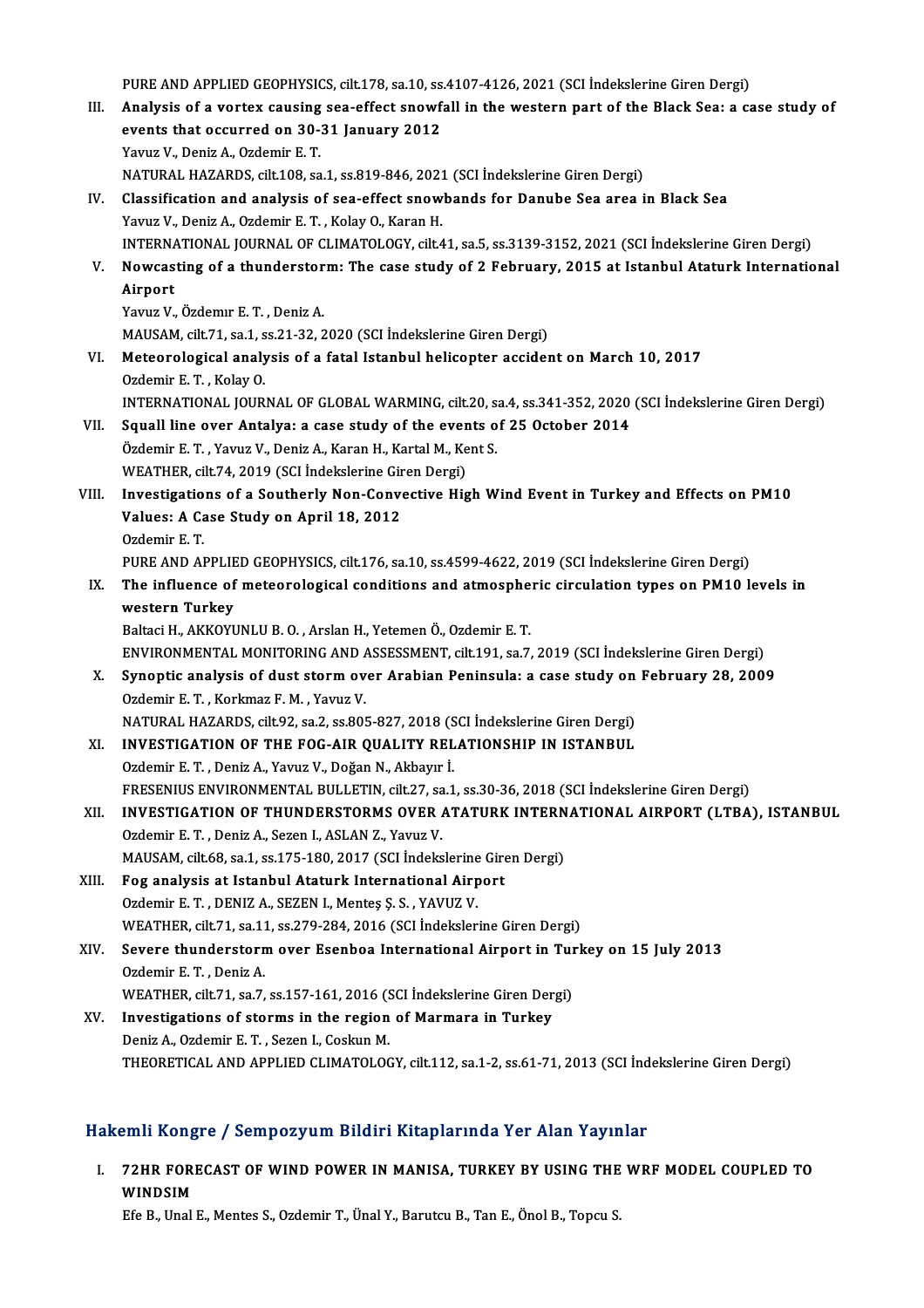PURE AND APPLIED GEOPHYSICS, cilt.178, sa.10, ss.4107-4126, 2021 (SCI İndekslerine Giren Dergi)<br>Analysis of a vantav sausing sea effect spowfall in the western part of the Blask Sea, a ss

- III. Analysis of a vortex causing sea-effect snowfall in the western part of the Black Sea: a case study of PURE AND APPLIED GEOPHYSICS, cilt.178, sa.10, ss<br>Analysis of a vortex causing sea-effect snowf<br>events that occurred on 30-31 January 2012<br>Yanua V, Doniz A, Ordomin E, T events that occurred on 30-31 January 2012<br>Yavuz V., Deniz A., Ozdemir E. T. NATURAL HAZARDS, cilt.108, sa.1, ss.819-846, 2021 (SCI İndekslerine Giren Dergi)
- IV. Classification and analysis of sea-effect snowbands for Danube Sea area in Black Sea Yavuz V., Deniz A., Ozdemir E. T., Kolay O., Karan H. INTERNATIONAL JOURNALOF CLIMATOLOGY, cilt.41, sa.5, ss.3139-3152,2021 (SCI İndekslerineGirenDergi) Yavuz V., Deniz A., Ozdemir E. T. , Kolay O., Karan H.<br>INTERNATIONAL JOURNAL OF CLIMATOLOGY, cilt.41, sa.5, ss.3139-3152, 2021 (SCI İndekslerine Giren Dergi)<br>V. Nowcasting of a thunderstorm: The case study of 2 Februar

## INTERNA<br>Nowcas<br>Airport<br><sup>Voruz V</sup> Nowcasting of a thunderstor<br>Airport<br>Yavuz V., Özdemır E.T., Deniz A.<br>MAUSAM silt 71, sə 1, sə 21, 22, 2 Airport<br>Yavuz V., Özdemır E. T. , Deniz A.<br>MAUSAM, cilt.71, sa.1, ss.21-32, 2020 (SCI İndekslerine Giren Dergi)

VI. Meteorological analysis of a fatal Istanbul helicopter accident onMarch 10, 2017 Ozdemir E.T., Kolay O. Meteorological analysis of a fatal Istanbul helicopter accident on March 10, 2017<br>Ozdemir E. T. , Kolay O.<br>INTERNATIONAL JOURNAL OF GLOBAL WARMING, cilt.20, sa.4, ss.341-352, 2020 (SCI İndekslerine Giren Dergi)<br>Sauell line

- Ozdemir E. T., Kolay O.<br>INTERNATIONAL JOURNAL OF GLOBAL WARMING, cilt.20, sa.4, ss.341-352, 2020<br>VII. Squall line over Antalya: a case study of the events of 25 October 2014 INTERNATIONAL JOURNAL OF GLOBAL WARMING, cilt.20, s.<br>Squall line over Antalya: a case study of the events o<br>Özdemir E.T., Yavuz V., Deniz A., Karan H., Kartal M., Kent S.<br>WEATUED, silt 74, 2019 (SCLIndekalerine Giren Dergi VII. Squall line over Antalya: a case study of the events of 25 October 2014<br>Özdemir E. T. , Yavuz V., Deniz A., Karan H., Kartal M., Kent S.<br>WEATHER, cilt.74, 2019 (SCI İndekslerine Giren Dergi)
- Özdemir E. T. , Yavuz V., Deniz A., Karan H., Kartal M., Kent S.<br>WEATHER, cilt.74, 2019 (SCI İndekslerine Giren Dergi)<br>VIII. Investigations of a Southerly Non-Convective High Wind Event in Turkey and Effects on PM10<br>Values WEATHER, cilt.74, 2019 (SCI İndekslerine Gir<br>Investigations of a Southerly Non-Conve<br>Values: A Case Study on April 18, 2012<br>Ordemin E T Investigatio<br>Values: A Ca<br>Ozdemir E. T.<br>PUPE AND AI Values: A Case Study on April 18, 2012<br>Ozdemir E. T.<br>PURE AND APPLIED GEOPHYSICS, cilt.176, sa.10, ss.4599-4622, 2019 (SCI İndekslerine Giren Dergi)

Ozdemir E. T.<br>PURE AND APPLIED GEOPHYSICS, cilt.176, sa.10, ss.4599-4622, 2019 (SCI İndekslerine Giren Dergi)<br>IX. The influence of meteorological conditions and atmospheric circulation types on PM10 levels in<br>western Tu PURE AND APPLIE<br>The influence of<br>western Turkey<br>Poltagi H AKKOVI The influence of meteorological conditions and atmosphe<br>western Turkey<br>Baltaci H., AKKOYUNLU B. O. , Arslan H., Yetemen Ö., Ozdemir E. T.<br>ENWRONMENTAL MONITORING AND ASSESSMENT sit 191-53.7 western Turkey<br>Baltaci H., AKKOYUNLU B. O. , Arslan H., Yetemen Ö., Ozdemir E. T.<br>ENVIRONMENTAL MONITORING AND ASSESSMENT, cilt.191, sa.7, 2019 (SCI İndekslerine Giren Dergi)<br>Synontis analysis of dust starm avar. Arabian B

## Baltaci H., AKKOYUNLU B. O., Arslan H., Yetemen Ö., Ozdemir E. T.<br>ENVIRONMENTAL MONITORING AND ASSESSMENT, cilt.191, sa.7, 2019 (SCI İndekslerine Giren Dergi)<br>X. Synoptic analysis of dust storm over Arabian Peninsula: a ca ENVIRONMENTAL MONITORING AND A<br>Synoptic analysis of dust storm ov<br>Ozdemir E.T., Korkmaz F.M., Yavuz V. Synoptic analysis of dust storm over Arabian Peninsula: a case study on<br>Ozdemir E. T. , Korkmaz F. M. , Yavuz V.<br>NATURAL HAZARDS, cilt.92, sa.2, ss.805-827, 2018 (SCI İndekslerine Giren Dergi)<br>INVESTIC ATION OF TUE FOC AIR

Ozdemir E. T., Korkmaz F. M., Yavuz V.<br>NATURAL HAZARDS, cilt.92, sa.2, ss.805-827, 2018 (SCI İndekslerine Giren Dergi)<br>XI. INVESTIGATION OF THE FOG-AIR QUALITY RELATIONSHIP IN ISTANBUL<br>Ordemir E. T., Deniz A. Yavuz V., Değ NATURAL HAZARDS, cilt.92, sa.2, ss.805-827, 2018 (S<br>INVESTIGATION OF THE FOG-AIR QUALITY REL<br>Ozdemir E. T. , Deniz A., Yavuz V., Doğan N., Akbayır İ.<br>ERESENIJIS ENVIRONMENTAL BIJI LETIN, silt 27, ss. 1 INVESTIGATION OF THE FOG-AIR QUALITY RELATIONSHIP IN ISTANBUL<br>Ozdemir E. T. , Deniz A., Yavuz V., Doğan N., Akbayır İ.<br>FRESENIUS ENVIRONMENTAL BULLETIN, cilt.27, sa.1, ss.30-36, 2018 (SCI İndekslerine Giren Dergi)<br>INVESTIC Ozdemir E. T. , Deniz A., Yavuz V., Doğan N., Akbayır İ.<br>FRESENIUS ENVIRONMENTAL BULLETIN, cilt.27, sa.1, ss.30-36, 2018 (SCI İndekslerine Giren Dergi)<br>XII. INVESTIGATION OF THUNDERSTORMS OVER ATATURK INTERNATIONAL AIRPORT

## FRESENIUS ENVIRONMENTAL BULLETIN, cilt.27, sa<br>INVESTIGATION OF THUNDERSTORMS OVER *1*<br>Ozdemir E.T. , Deniz A., Sezen I., ASLAN Z., Yavuz V.<br>MAUSAM silt 69, se 1, se 175, 190, 2017 (SCL Indelta INVESTIGATION OF THUNDERSTORMS OVER ATATURK INTERN<br>Ozdemir E. T. , Deniz A., Sezen I., ASLAN Z., Yavuz V.<br>MAUSAM, cilt.68, sa.1, ss.175-180, 2017 (SCI İndekslerine Giren Dergi)<br>Feg analysis at Istanbul Ataturk Internationa MAUSAM, cilt.68, sa.1, ss.175-180, 2017 (SCI İndekslerine Giren Dergi)

Ozdemir E. T. , Deniz A., Sezen I., ASLAN Z., Yavuz V.<br>MAUSAM, cilt.68, sa.1, ss.175-180, 2017 (SCI İndekslerine Gire<br>XIII. Fog analysis at Istanbul Ataturk International Airport<br>Ozdemir E. T. , DENIZ A., SEZEN I., Mentes Fog analysis at Istanbul Ataturk International Airport<br>Ozdemir E. T. , DENIZ A., SEZEN I., Menteş Ş. S. , YAVUZ V.<br>WEATHER, cilt.71, sa.11, ss.279-284, 2016 (SCI İndekslerine Giren Dergi)<br>Severe thundersterm ever Esenbes I

- XIV. Severe thunderstormover Esenboa International Airport in Turkey on 15 July 2013 WEATHER, cilt.71, sa.11<br>Severe thunderstorn<br>Ozdemir E. T. , Deniz A.<br>WEATUEP silt 71, sa.7 WEATHER, cilt.71, sa.7, ss.157-161, 2016 (SCI İndekslerine Giren Dergi)
- Ozdemir E. T., Deniz A.<br>WEATHER, cilt.71, sa.7, ss.157-161, 2016 (SCI İndekslerine Giren Der<br>XV. Investigations of storms in the region of Marmara in Turkey<br>Deniz A. Ozdemir E. T. Sezen J. Ceckup M. WEATHER, cilt.71, sa.7, ss.157-161, 2016 (State in the region<br>Deniz A., Ozdemir E.T. , Sezen I., Coskun M.<br>THEOPETICAL AND APPLEED CLIMATOLOG Deniz A., Ozdemir E. T. , Sezen I., Coskun M.<br>THEORETICAL AND APPLIED CLIMATOLOGY, cilt.112, sa.1-2, ss.61-71, 2013 (SCI İndekslerine Giren Dergi)

### Hakemli Kongre / Sempozyum Bildiri Kitaplarında Yer Alan Yayınlar

akemli Kongre / Sempozyum Bildiri Kitaplarında Yer Alan Yayınlar<br>I. 72HR FORECAST OF WIND POWER IN MANISA, TURKEY BY USING THE WRF MODEL COUPLED TO FILM RONG<br>T2HR FORI<br>WINDSIM 72HR FORECAST OF WIND POWER IN MANISA, TURKEY BY USING THE<br>WINDSIM<br>Efe B., Unal E., Mentes S., Ozdemir T., Ünal Y., Barutcu B., Tan E., Önol B., Topcu S.